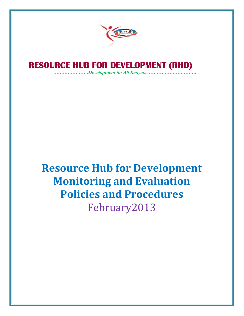

# **RESOURCE HUB FOR DEVELOPMENT (RHD) FOR DEVELOPMENT**

*………………….Development for All Kenyans…………………………. All* 

# **Resource Hub for Development Monitoring and Evaluation Policies and Procedures** February2013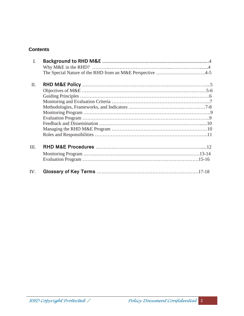#### **Contents**

| I.   |                                                           |  |
|------|-----------------------------------------------------------|--|
|      |                                                           |  |
|      | The Special Nature of the RHD from an M&E Perspective 4-5 |  |
|      |                                                           |  |
| II.  |                                                           |  |
|      |                                                           |  |
|      |                                                           |  |
|      |                                                           |  |
|      |                                                           |  |
|      |                                                           |  |
|      |                                                           |  |
|      |                                                           |  |
|      |                                                           |  |
|      |                                                           |  |
| III. |                                                           |  |
|      |                                                           |  |
|      |                                                           |  |
|      |                                                           |  |
| IV.  |                                                           |  |
|      |                                                           |  |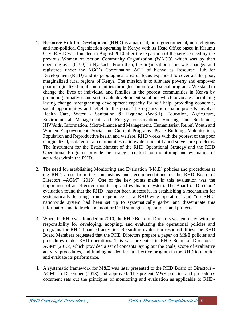- 1. **Resource Hub for Development (RHD)** is a national, non- governmental, non religious and non-political Organization operating in Kenya with its Head Office based in Kisumu City. R.H.D was founded in August 2010 after the expansion of the service need by the previous Women of Action Community Organization (WACO) which was by then operating as a (CBO) in Nyakach. From then, the organization name was changed and registered under the NGO's Coordination ACT of Kenya as Resource Hub for Development (RHD) and its geographical area of focus expanded to cover all the poor, marginalized rural regions of Kenya. The mission is to alleviate poverty and empower poor marginalized rural communities through economic and social programs. We stand to change the lives of individual and families in the poorest communities in Kenya by promoting initiatives and sustainable development solutions which advocates facilitating lasting change, strengthening development capacity for self help, providing economic, social opportunities and relief to the poor. The organization major projects involve; Health Care, Water - Sanitation & Hygiene (WaSH), Education, Agriculture, Environmental Management and Energy conservation, Housing and Settlement, HIV/Aids, Information, Micro-finance and Management, Humanitarian Relief, Youth and Women Empowerment, Social and Cultural Programs -Peace Building, Volunteerism, Population and Reproductive health and welfare. RHD works with the poorest of the poor marginalized, isolated rural communities nationwide to identify and solve core problems. The Instrument for the Establishment of the RHD Operational Strategy and the RHD Operational Programs provide the strategic context for monitoring and evaluation of activities within the RHD.
- 2. The need for establishing Monitoring and Evaluation (M&E) policies and procedures at the RHD arose from the conclusions and recommendations of the RHD Board of Directors –AGM" (2013). One of the key points made in this evaluation was the importance of an effective monitoring and evaluation system. The Board of Directors' evaluation found that the RHD "has not been successful in establishing a mechanism for systematically learning from experience as a RHD-wide operation" and "no RHD nationwide system had been set up to systematically gather and disseminate this information and to track and monitor RHD strategies, operations, and projects."
- 3. When the RHD was founded in 2010, the RHD Board of Directors was entrusted with the responsibility for developing, adopting, and evaluating the operational policies and programs for RHD financed activities. Regarding evaluation responsibilities, the RHD Board Members requested that the RHD Directors prepare a paper on M&E policies and procedures under RHD operations. This was presented in RHD Board of Directors – AGM" (2013), which provided a set of concepts laying out the goals, scope of evaluative activity, procedures, and funding needed for an effective program in the RHD to monitor and evaluate its performance.
- 4. A systematic framework for M&E was later presented to the RHD Board of Directors AGM" in December (2013) and approved. The present M&E policies and procedures document sets out the principles of monitoring and evaluation as applicable to RHD-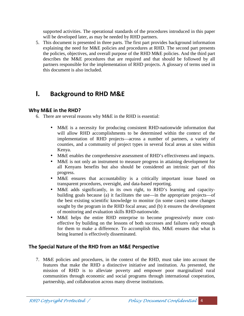supported activities. The operational standards of the procedures introduced in this paper will be developed later, as may be needed by RHD partners.

5. This document is presented in three parts. The first part provides background information explaining the need for M&E policies and procedures at RHD. The second part presents the policies, objectives, and overall purpose of the RHD M&E policies. And the third part describes the M&E procedures that are required and that should be followed by all partners responsible for the implementation of RHD projects. A glossary of terms used in this document is also included.

## **I. Background to RHD M&E**

#### **Why M&E in the RHD?**

6. There are several reasons why M&E in the RHD is essential:

- M&E is a necessity for producing consistent RHD-nationwide information that will allow RHD accomplishments to be determined within the context of the implementation of RHD projects—across a number of partners, a variety of counties, and a community of project types in several focal areas at sites within Kenya.
- M&E enables the comprehensive assessment of RHD's effectiveness and impacts.
- M&E is not only an instrument to measure progress in attaining development for all Kenyans benefits but also should be considered an intrinsic part of this progress.
- M&E ensures that accountability is a critically important issue based on transparent procedures, oversight, and data-based reporting.
- M&E adds significantly, in its own right, to RHD's learning and capacity building goals because (a) it facilitates the use—in the appropriate projects—of the best existing scientific knowledge to monitor (in some cases) some changes sought by the program in the RHD focal areas; and (b) it ensures the development of monitoring and evaluation skills RHD-nationwide.
- M&E helps the entire RHD enterprise to become progressively more cost effective by building on the lessons of both successes and failures early enough for them to make a difference. To accomplish this, M&E ensures that what is being learned is effectively disseminated.

#### **The Special Nature of the RHD from an M&E Perspective**

7. M&E policies and procedures, in the context of the RHD, must take into account the features that make the RHD a distinctive initiative and institution. As presented, the mission of RHD is to alleviate poverty and empower poor marginalized rural communities through economic and social programs through international cooperation, partnership, and collaboration across many diverse institutions.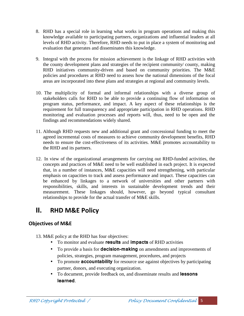- 8. RHD has a special role in learning what works in program operations and making this knowledge available to participating partners, organizations and influential leaders at all levels of RHD activity. Therefore, RHD needs to put in place a system of monitoring and evaluation that generates and disseminates this knowledge.
- 9. Integral with the process for mission achievement is the linkage of RHD activities with the county development plans and strategies of the recipient community/ county, making RHD initiatives community-driven and based on community priorities. The M&E policies and procedures at RHD need to assess how the national dimensions of the focal areas are incorporated into these plans and strategies at regional and community levels.
- 10. The multiplicity of formal and informal relationships with a diverse group of stakeholders calls for RHD to be able to provide a continuing flow of information on program status, performance, and impact. A key aspect of these relationships is the requirement for full transparency and appropriate participation in RHD operations. RHD monitoring and evaluation processes and reports will, thus, need to be open and the findings and recommendations widely shared.
- 11. Although RHD requests new and additional grant and concessional funding to meet the agreed incremental costs of measures to achieve community development benefits, RHD needs to ensure the cost-effectiveness of its activities. M&E promotes accountability to the RHD and its partners.
- 12. In view of the organizational arrangements for carrying out RHD-funded activities, the concepts and practices of M&E need to be well established in each project. It is expected that, in a number of instances, M&E capacities will need strengthening, with particular emphasis on capacities to track and assess performance and impact. These capacities can be enhanced by linkages to a network of universities and other partners with responsibilities, skills, and interests in sustainable development trends and their measurement. These linkages should, however, go beyond typical consultant relationships to provide for the actual transfer of M&E skills.

# **II. RHD M&E Policy**

### **Objectives of M&E**

- 13. M&E policy at the RHD has four objectives:
	- To monitor and evaluate **results** and **impacts** of RHD activities
	- To provide a basis for **decision-making** on amendments and improvements of policies, strategies, program management, procedures, and projects
	- To promote **accountability** for resource use against objectives by participating partner, donors, and executing organization.
	- To document, provide feedback on, and disseminate results and **lessons learned**.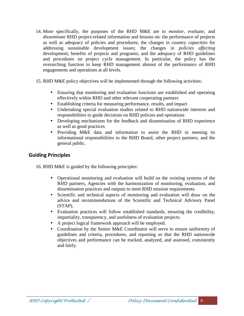- 14. More specifically, the purposes of the RHD M&E are to *monitor, evaluate,* and *disseminate* RHD project-related information and lessons on: the performance of projects as well as adequacy of policies and procedures; the changes in country *capacities* for addressing sustainable development issues; the changes in *policies affecting* development; benefits of projects and programs; and the adequacy of RHD guidelines and procedures on project cycle management. In particular, the policy has the overarching function to keep RHD management abreast of the performance of RHD engagements and operations at all levels.
- 15. RHD M&E policy objectives will be implemented through the following activities:
	- Ensuring that monitoring and evaluation functions are established and operating effectively within RHD and other relevant cooperating partners
	- Establishing criteria for measuring performance, results, and impact
	- Undertaking special evaluation studies related to RHD nationwide interests and responsibilities to guide decisions on RHD policies and operations
	- Developing mechanisms for the feedback and dissemination of RHD experience as well as good practices
	- Providing M&E data and information to assist the RHD in meeting its informational responsibilities to the RHD Board, other project partners, and the general public.

#### **Guiding Principles**

16. RHD M&E is guided by the following principles:

- Operational monitoring and evaluation will build on the existing systems of the RHD partners, Agencies with the harmonization of monitoring, evaluation, and dissemination practices and outputs to meet RHD mission requirements.
- Scientific and technical aspects of monitoring and evaluation will draw on the advice and recommendations of the Scientific and Technical Advisory Panel (STAP).
- Evaluation practices will follow established standards, ensuring the credibility, impartiality, transparency, and usefulness of evaluation projects.
- A project logical framework approach will be employed.
- Coordination by the Senior M&E Coordinator will serve to ensure uniformity of guidelines and criteria, procedures, and reporting so that the RHD nationwide objectives and performance can be tracked, analyzed, and assessed, consistently and fairly.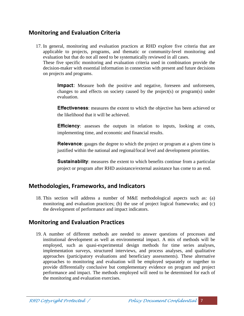## **Monitoring and Evaluation Criteria**

17. In general, monitoring and evaluation practices at RHD explore five criteria that are applicable to projects, programs, and thematic or community-level monitoring and evaluation but that do not all need to be systematically reviewed in all cases.

These five specific monitoring and evaluation criteria used in combination provide the decision-maker with essential information in connection with present and future decisions on projects and programs.

**Impact**: Measure both the positive and negative, foreseen and unforeseen, changes to and effects on society caused by the project(s) or program(s) under evaluation.

**Effectiveness**: measures the extent to which the objective has been achieved or the likelihood that it will be achieved.

**Efficiency**: assesses the outputs in relation to inputs, looking at costs, implementing time, and economic and financial results.

**Relevance**: gauges the degree to which the project or program at a given time is justified within the national and regional/local level and development priorities.

**Sustainability:** measures the extent to which benefits continue from a particular project or program after RHD assistance/external assistance has come to an end.

## **Methodologies, Frameworks, and Indicators**

18. This section will address a number of M&E methodological aspects such as: (a) monitoring and evaluation practices; (b) the use of project logical frameworks; and (c) the development of performance and impact indicators.

## **Monitoring and Evaluation Practices**

19. A number of different methods are needed to answer questions of processes and institutional development as well as environmental impact. A mix of methods will be employed, such as quasi-experimental design methods for time series analyses, implementation surveys, structured interviews, and process analyses, and qualitative approaches (participatory evaluations and beneficiary assessments). These alternative approaches to monitoring and evaluation will be employed separately or together to provide differentially conclusive but complementary evidence on program and project performance and impact. The methods employed will need to be determined for each of the monitoring and evaluation exercises.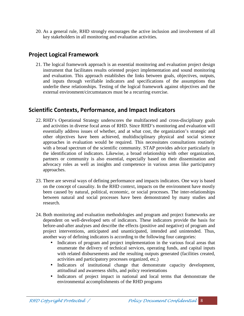20. As a general rule, RHD strongly encourages the active inclusion and involvement of all key stakeholders in all monitoring and evaluation activities.

## **Project Logical Framework**

21. The logical framework approach is an essential monitoring and evaluation project design instrument that facilitates results oriented project implementation and sound monitoring and evaluation. This approach establishes the links between goals, objectives, outputs, and inputs through verifiable indicators and specifications of the assumptions that underlie these relationships. Testing of the logical framework against objectives and the external environment/circumstances must be a recurring exercise.

## **Scientific Contexts, Performance, and Impact Indicators**

- 22. RHD's Operational Strategy underscores the multifaceted and cross-disciplinary goals and activities in diverse focal areas of RHD. Since RHD's monitoring and evaluation will essentially address issues of whether, and at what cost, the organization's strategic and other objectives have been achieved, multidisciplinary physical and social science approaches in evaluation would be required. This necessitates consultations routinely with a broad spectrum of the scientific community. STAP provides advice particularly in the identification of indicators. Likewise, a broad relationship with other organization, partners or community is also essential, especially based on their dissemination and advocacy roles as well as insights and competence in various areas like participatory approaches.
- 23. There are several ways of defining performance and impacts indicators. One way is based on the concept of causality. In the RHD context, impacts on the environment have mostly been caused by natural, political, economic, or social processes. The inter-relationships between natural and social processes have been demonstrated by many studies and research.
- 24. Both monitoring and evaluation methodologies and program and project frameworks are dependent on well-developed sets of indicators. These indicators provide the basis for before-and-after analyses and describe the effects (positive and negative) of program and project interventions, anticipated and unanticipated, intended and unintended. Thus, another way of defining indicators is according to the following four categories:
	- Indicators of program and project implementation in the various focal areas that enumerate the delivery of technical services, operating funds, and capital inputs with related disbursements and the resulting outputs generated (facilities created, activities and participatory processes organized, etc.)
	- Indicators of institutional change that demonstrate capacity development, attitudinal and awareness shifts, and policy reorientations
	- Indicators of project impact in national and local terms that demonstrate the environmental accomplishments of the RHD programs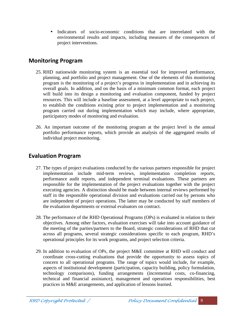Indicators of socio-economic conditions that are interrelated with the environmental results and impacts, including measures of the consequences of project interventions.

## **Monitoring Program**

- 25. RHD nationwide monitoring system is an essential tool for improved performance, planning, and portfolio and project management. One of the elements of this monitoring program is the monitoring of a project's progress in implementation and in achieving its overall goals. In addition, and on the basis of a minimum common format, each project will build into its design a monitoring and evaluation component, funded by project resources. This will include a baseline assessment, at a level appropriate to each project, to establish the conditions existing prior to project implementation and a monitoring program carried out during implementation which may include, where appropriate, participatory modes of monitoring and evaluation.
- 26. An important outcome of the monitoring program at the project level is the annual portfolio performance reports, which provide an analysis of the aggregated results of individual project monitoring.

## **Evaluation Program**

- 27. The types of project evaluations conducted by the various partners responsible for project implementation include mid-term reviews, implementation completion reports, performance audit reports, and independent terminal evaluations. These partners are responsible for the implementation of the project evaluations together with the project executing agencies. A distinction should be made between internal reviews performed by staff in the responsible operational division and evaluations carried out by persons who are independent of project operations. The latter may be conducted by staff members of the evaluation departments or external evaluators on contract.
- 28. The performance of the RHD Operational Programs (OPs) is evaluated in relation to their objectives. Among other factors, evaluation exercises will take into account guidance of the meeting of the parties/partners to the Board, strategic considerations of RHD that cut across all programs, several strategic considerations specific to each program, RHD's operational principles for its work programs, and project selection criteria.
- 29. In addition to evaluation of OPs, the project M&E committee at RHD will conduct and coordinate cross-cutting evaluations that provide the opportunity to assess topics of concern to all operational programs. The range of topics would include, for example, aspects of institutional development (participation, capacity building, policy formulation, technology comparisons), funding arrangements (incremental costs, co-financing, technical and financial assistance), management and operations responsibilities, best practices in M&E arrangements, and application of lessons learned.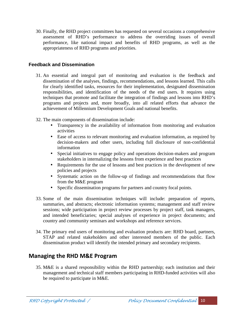30. Finally, the RHD project committees has requested on several occasions a comprehensive assessment of RHD's performance to address the overriding issues of overall performance, like national impact and benefits of RHD programs, as well as the appropriateness of RHD programs and priorities.

#### **Feedback and Dissemination**

- 31. An essential and integral part of monitoring and evaluation is the feedback and dissemination of the analyses, findings, recommendations, and lessons learned. This calls for clearly identified tasks, resources for their implementation, designated dissemination responsibilities, and identification of the needs of the end users. It requires using techniques that promote and facilitate the integration of findings and lessons into RHD's programs and projects and, more broadly, into all related efforts that advance the achievement of Millennium Development Goals and national benefits.
- 32. The main components of dissemination include:
	- Transparency in the availability of information from monitoring and evaluation activities
	- Ease of access to relevant monitoring and evaluation information, as required by decision-makers and other users, including full disclosure of non-confidential information
	- Special initiatives to engage policy and operations decision-makers and program stakeholders in internalizing the lessons from experience and best practices
	- Requirements for the use of lessons and best practices in the development of new policies and projects
	- Systematic action on the follow-up of findings and recommendations that flow from the M&E program
	- Specific dissemination programs for partners and country focal points.
- 33. Some of the main dissemination techniques will include: preparation of reports, summaries, and abstracts; electronic information systems; management and staff review sessions; wide participation in project review processes by project staff, task managers, and intended beneficiaries; special analyses of experience in project documents; and country and community seminars and workshops and reference services.
- 34. The primary end users of monitoring and evaluation products are: RHD board, partners, STAP and related stakeholders and other interested members of the public. Each dissemination product will identify the intended primary and secondary recipients.

## **Managing the RHD M&E Program**

35. M&E is a shared responsibility within the RHD partnership; each institution and their management and technical staff members participating in RHD-funded activities will also be required to participate in M&E.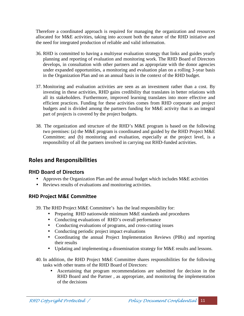Therefore a coordinated approach is required for managing the organization and resources allocated for M&E activities, taking into account both the nature of the RHD initiative and the need for integrated production of reliable and valid information.

- 36. RHD is committed to having a multiyear evaluation strategy that links and guides yearly planning and reporting of evaluation and monitoring work. The RHD Board of Directors develops, in consultation with other partners and as appropriate with the donor agencies under expanded opportunities, a monitoring and evaluation plan on a rolling 3-year basis in the Organization Plan and on an annual basis in the context of the RHD budget.
- 37. Monitoring and evaluation activities are seen as an investment rather than a cost. By investing in these activities, RHD gains credibility that translates in better relations with all its stakeholders. Furthermore, improved learning translates into more effective and efficient practices. Funding for these activities comes from RHD corporate and project budgets and is divided among the partners funding for M&E activity that is an integral part of projects is covered by the project budgets.
- 38. The organization and structure of the RHD's M&E program is based on the following two premises: (a) the M&E program is coordinated and guided by the RHD Project M&E Committee; and (b) monitoring and evaluation, especially at the project level, is a responsibility of all the partners involved in carrying out RHD-funded activities.

## **Roles and Responsibilities**

#### RHD Board of Directors

- Approves the Organization Plan and the annual budget which includes M&E activities
- Reviews results of evaluations and monitoring activities.

#### **RHD Project M&E Committee**

- 39. The RHD Project M&E Committee's has the lead responsibility for:
	- Preparing RHD nationwide minimum M&E standards and procedures
	- Conducting evaluations of RHD's overall performance
	- Conducting evaluations of programs, and cross-cutting issues
	- Conducting periodic project impact evaluations
	- Coordinating the annual Project Implementation Reviews (PIRs) and reporting their results
	- Updating and implementing a dissemination strategy for M&E results and lessons.
- 40. In addition, the RHD Project M&E Committee shares responsibilities for the following tasks with other teams of the RHD Board of Directors:
	- Ascertaining that program recommendations are submitted for decision in the RHD Board and the Partner, as appropriate, and monitoring the implementation of the decisions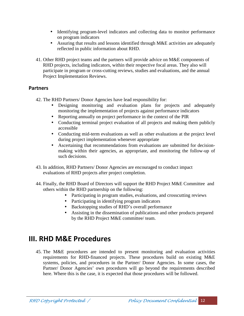- Identifying program-level indicators and collecting data to monitor performance on program indicators
- Assuring that results and lessons identified through M&E activities are adequately reflected in public information about RHD.
- 41. Other RHD project teams and the partners will provide advice on M&E components of RHD projects, including indicators, within their respective focal areas. They also will participate in program or cross-cutting reviews, studies and evaluations, and the annual Project Implementation Reviews.

#### **Partners**

- 42. The RHD Partners/ Donor Agencies have lead responsibility for:
	- Designing monitoring and evaluation plans for projects and adequately monitoring the implementation of projects against performance indicators
	- Reporting annually on project performance in the context of the PIR
	- Conducting terminal project evaluation of all projects and making them publicly accessible
	- Conducting mid-term evaluations as well as other evaluations at the project level during project implementation whenever appropriate
	- Ascertaining that recommendations from evaluations are submitted for decision making within their agencies, as appropriate, and monitoring the follow-up of such decisions.
- 43. In addition, RHD Partners/ Donor Agencies are encouraged to conduct impact evaluations of RHD projects after project completion.
- 44. Finally, the RHD Board of Directors will support the RHD Project M&E Committee and others within the RHD partnership on the following:
	- Participating in program studies, evaluations, and crosscutting reviews
	- Participating in identifying program indicators
	- Backstopping studies of RHD's overall performance
	- Assisting in the dissemination of publications and other products prepared by the RHD Project M&E committee/ team.

## **III. RHD M&E Procedures**

45. The M&E procedures are intended to present monitoring and evaluation activities requirements for RHD-financed projects. These procedures build on existing M&E systems, policies, and procedures in the Partner/ Donor Agencies. In some cases, the Partner/ Donor Agencies' own procedures will go beyond the requirements described here. Where this is the case, it is expected that those procedures will be followed.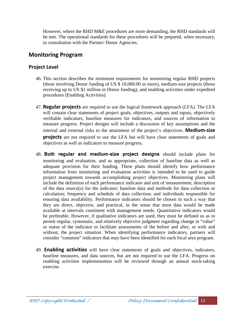However, where the RHD M&E procedures are more demanding, the RHD standards will be met. The operational standards for these procedures will be prepared, when necessary, in consultation with the Partner/ Donor Agencies.

## **Monitoring Program**

#### **Project Level**

- 46. This section describes the minimum requirements for monitoring regular RHD projects (those involving Donor funding of US \$ 10,000.00 or more), medium-size projects (those receiving up to US \$1 million in Donor funding), and enabling activities under expedited procedures (Enabling Activities).
- 47. **Regular projects** are required to use the logical framework approach (LFA). The LFA will contain clear statements of project goals, objectives, outputs and inputs, objectively verifiable indicators, baseline measures for indicators, and sources of information to measure progress. Project designs will include a discussion of key assumptions and the internal and external risks to the attainment of the project's objectives. **Medium-size projects** are not required to use the LFA but will have clear statements of goals and objectives as well as indicators to measure progress.
- 48. **Both regular and medium-size project designs** should include plans for monitoring and evaluation, and as appropriate, collection of baseline data as well as adequate provision for their funding. These plans should identify how performance information from monitoring and evaluation activities is intended to be used to guide project management towards accomplishing project objectives. Monitoring plans will include the definition of each performance indicator and unit of measurement; description of the data source(s) for the indicator; baseline data and methods for data collection or calculation; frequency and schedule of data collection; and individuals responsible for ensuring data availability. Performance indicators should be chosen in such a way that they are direct, objective, and practical, in the sense that most data would be made available at intervals consistent with management needs. Quantitative indicators would be preferable. However, if qualitative indicators are used, they must be defined so as to permit regular, systematic, and relatively objective judgment regarding change in "value" or status of the indicator to facilitate assessments of the before and after, or with and without, the project situation. When identifying performance indicators, partners will consider "common" indicators that may have been identified for each focal area program.
- 49. **Enabling activities** will have clear statements of goals and objectives, indicators, baseline measures, and data sources, but are not required to use the LFA. Progress on enabling activities implementation will be reviewed through an annual stock-taking exercise.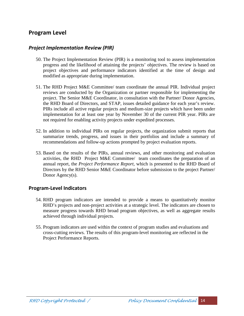## **Program Level**

#### *Project Implementation Review (PIR)*

- 50. The Project Implementation Review (PIR) is a monitoring tool to assess implementation progress and the likelihood of attaining the projects' objectives. The review is based on project objectives and performance indicators identified at the time of design and modified as appropriate during implementation.
- 51. The RHD Project M&E Committee/ team coordinate the annual PIR. Individual project reviews are conducted by the Organization or partner responsible for implementing the project. The Senior M&E Coordinator, in consultation with the Partner/ Donor Agencies, the RHD Board of Directors, and STAP, issues detailed guidance for each year's review. PIRs include all active regular projects and medium-size projects which have been under implementation for at least one year by November 30 of the current PIR year. PIRs are not required for enabling activity projects under expedited processes.
- 52. In addition to individual PIRs on regular projects, the organization submit reports that summarize trends, progress, and issues in their portfolios and include a summary of recommendations and follow-up actions prompted by project evaluation reports.
- 53. Based on the results of the PIRs, annual reviews, and other monitoring and evaluation activities, the RHD Project M&E Committee/ team coordinates the preparation of an annual report, the *Project Performance Report,* which is presented to the RHD Board of Directors by the RHD Senior M&E Coordinator before submission to the project Partner/ Donor Agency(s).

#### **Program-Level Indicators**

- 54. RHD program indicators are intended to provide a means to quantitatively monitor RHD's projects and non-project activities at a strategic level. The indicators are chosen to measure progress towards RHD broad program objectives, as well as aggregate results achieved through individual projects.
- 55. Program indicators are used within the context of program studies and evaluations and cross-cutting reviews. The results of this program-level monitoring are reflected in the Project Performance Reports.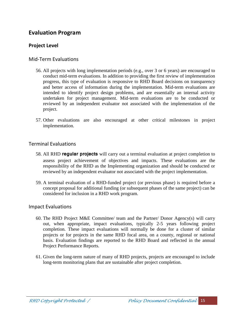## **Evaluation Program**

#### **Project Level**

#### Mid-Term Evaluations

- 56. All projects with long implementation periods (e.g., over 3 or 6 years) are encouraged to conduct mid-term evaluations. In addition to providing the first review of implementation progress, this type of evaluation is responsive to RHD Board decisions on transparency and better access of information during the implementation. Mid-term evaluations are intended to identify project design problems, and are essentially an internal activity undertaken for project management. Mid-term evaluations are to be conducted or reviewed by an independent evaluator not associated with the implementation of the project.
- 57. Other evaluations are also encouraged at other critical milestones in project implementation.

#### Terminal Evaluations

- 58. All RHD **regular projects** will carry out a terminal evaluation at project completion to assess project achievement of objectives and impacts. These evaluations are the responsibility of the RHD as the Implementing organization and should be conducted or reviewed by an independent evaluator not associated with the project implementation.
- 59. A terminal evaluation of a RHD-funded project (or previous phase) is required before a concept proposal for additional funding (or subsequent phases of the same project) can be considered for inclusion in a RHD work program.

#### Impact Evaluations

- 60. The RHD Project M&E Committee/ team and the Partner/ Donor Agency(s) will carry out, when appropriate, impact evaluations, typically 2-5 years following project completion. These impact evaluations will normally be done for a cluster of similar projects or for projects in the same RHD focal area, on a county, regional or national basis. Evaluation findings are reported to the RHD Board and reflected in the annual Project Performance Reports.
- 61. Given the long-term nature of many of RHD projects, projects are encouraged to include long-term monitoring plans that are sustainable after project completion.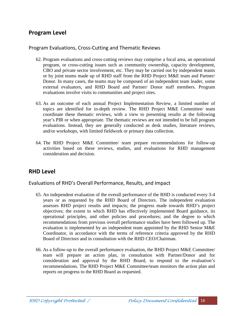## **Program Level**

#### Program Evaluations, Cross-Cutting and Thematic Reviews

- 62. Program evaluations and cross-cutting reviews may comprise a focal area, an operational program, or cross-cutting issues such as community ownership, capacity development, CBO and private sector involvement, etc. They may be carried out by independent teams or by joint teams made up of RHD staff from the RHD Project M&E team and Partner/ Donor. In many cases, the teams may be composed of an independent team leader, some external evaluators, and RHD Board and Partner/ Donor staff members. Program evaluations involve visits to communities and project sites.
- 63. As an outcome of each annual Project Implementation Review, a limited number of topics are identified for in-depth review. The RHD Project M&E Committee/ team coordinate these thematic reviews, with a view to presenting results at the following year's PIR or when appropriate. The thematic reviews are not intended to be full program evaluations. Instead, they are generally conducted as desk studies, literature reviews, and/or workshops, with limited fieldwork or primary data collection.
- 64. The RHD Project M&E Committee/ team prepare recommendations for follow-up activities based on these reviews, studies, and evaluations for RHD management consideration and decision.

## **RHD Level**

Evaluations of RHD's Overall Performance, Results, and Impact

- 65. An independent evaluation of the overall performance of the RHD is conducted every 3-4 years or as requested by the RHD Board of Directors. The independent evaluation assesses RHD project results and impacts; the progress made towards RHD's project objectives; the extent to which RHD has effectively implemented Board guidance, its operational principles, and other policies and procedures; and the degree to which recommendations from previous overall performance studies have been followed up. The evaluation is implemented by an independent team appointed by the RHD Senior M&E Coordinator, in accordance with the terms of reference criteria approved by the RHD Board of Directors and in consultation with the RHD CEO/Chairman.
- 66. As a follow-up to the overall performance evaluation, the RHD Project M&E Committee/ team will prepare an action plan, in consultation with Partner/Donor and for consideration and approval by the RHD Board, to respond to the evaluation's recommendations. The RHD Project M&E Committee/team monitors the action plan and reports on progress to the RHD Board as requested.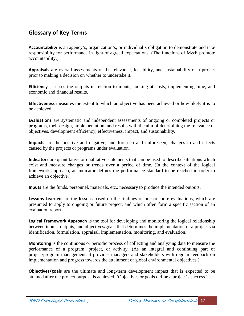## **Glossary of Key Terms**

**Accountability** is an agency's, organization's, or individual's obligation to demonstrate and take responsibility for performance in light of agreed expectations. (The functions of M&E promote accountability.)

**Appraisals** are overall assessments of the relevance, feasibility, and sustainability of a project prior to making a decision on whether to undertake it.

**Efficiency** assesses the outputs in relation to inputs, looking at costs, implementing time, and economic and financial results.

**Effectiveness** measures the extent to which an objective has been achieved or how likely it is to be achieved.

**Evaluations** are systematic and independent assessments of ongoing or completed projects or programs, their design, implementation, and results with the aim of determining the relevance of objectives, development efficiency, effectiveness, impact, and sustainability.

**Impacts** are the positive and negative, and foreseen and unforeseen, changes to and effects caused by the projects or programs under evaluation.

**Indicators** are quantitative or qualitative statements that can be used to describe situations which exist and measure changes or trends over a period of time. (In the context of the logical framework approach, an indicator defines the performance standard to be reached in order to achieve an objective.)

**Inputs** are the funds, personnel, materials, etc., necessary to produce the intended outputs.

**Lessons Learned** are the lessons based on the findings of one or more evaluations, which are presumed to apply to ongoing or future project, and which often form a specific section of an evaluation report.

**Logical Framework Approach** is the tool for developing and monitoring the logical relationship between inputs, outputs, and objectives/goals that determines the implementation of a project via identification, formulation, appraisal, implementation, monitoring, and evaluation.

**Monitoring** is the continuous or periodic process of collecting and analyzing data to measure the performance of a program, project, or activity. (As an integral and continuing part of project/program management, it provides managers and stakeholders with regular feedback on implementation and progress towards the attainment of global environmental objectives.)

**Objectives/goals** are the ultimate and long-term development impact that is expected to be attained after the project purpose is achieved. (Objectives or goals define a project's success.)